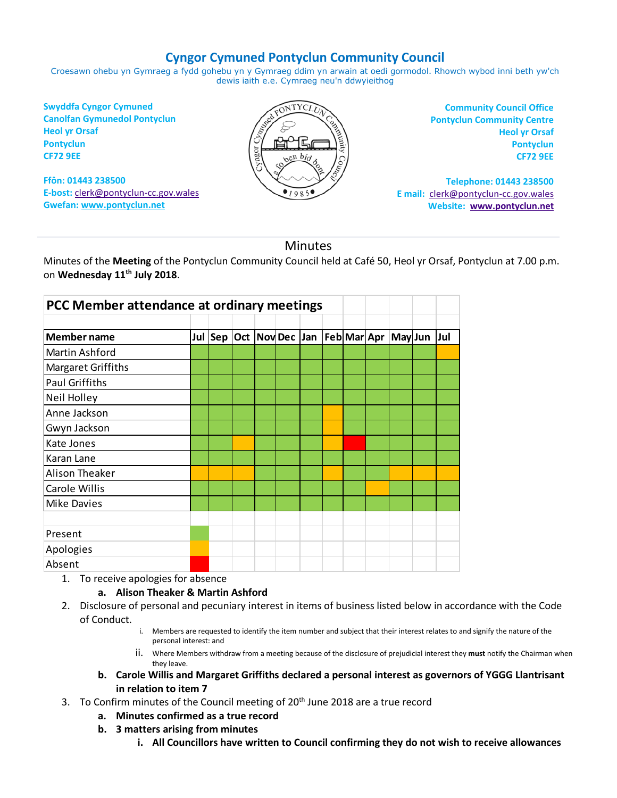## **Cyngor Cymuned Pontyclun Community Council**

Croesawn ohebu yn Gymraeg a fydd gohebu yn y Gymraeg ddim yn arwain at oedi gormodol. Rhowch wybod inni beth yw'ch dewis iaith e.e. Cymraeg neu'n ddwyieithog

**Swyddfa Cyngor Cymuned Canolfan Gymunedol Pontyclun Heol yr Orsaf Pontyclun CF72 9EE**

**Ffôn: 01443 238500 E-bost:** [clerk@pontyclun-cc.gov.wales](mailto:clerk@pontyclun-cc.gov.wales) **Gwefan[: www.pontyclun.net](http://www.pontyclun.net/)** 



**Community Council Office Pontyclun Community Centre Heol yr Orsaf Pontyclun CF72 9EE**

**Telephone: 01443 238500 E mail:** [clerk@pontyclun-cc.gov.wales](mailto:clerk@pontyclun-cc.gov.wales)  **Website: [www.pontyclun.net](http://www.pontyclun.net/)**

## Minutes

Minutes of the **Meeting** of the Pontyclun Community Council held at Café 50, Heol yr Orsaf, Pontyclun at 7.00 p.m. on **Wednesday 11th July 2018**.

| PCC Member attendance at ordinary meetings |  |  |  |  |  |  |  |  |                                                      |  |
|--------------------------------------------|--|--|--|--|--|--|--|--|------------------------------------------------------|--|
|                                            |  |  |  |  |  |  |  |  |                                                      |  |
| <b>Member name</b>                         |  |  |  |  |  |  |  |  | Jul Sep Oct  Nov Dec  Jan  Feb Mar Apr  May Jun  Jul |  |
| Martin Ashford                             |  |  |  |  |  |  |  |  |                                                      |  |
| Margaret Griffiths                         |  |  |  |  |  |  |  |  |                                                      |  |
| <b>Paul Griffiths</b>                      |  |  |  |  |  |  |  |  |                                                      |  |
| <b>Neil Holley</b>                         |  |  |  |  |  |  |  |  |                                                      |  |
| Anne Jackson                               |  |  |  |  |  |  |  |  |                                                      |  |
| Gwyn Jackson                               |  |  |  |  |  |  |  |  |                                                      |  |
| Kate Jones                                 |  |  |  |  |  |  |  |  |                                                      |  |
| Karan Lane                                 |  |  |  |  |  |  |  |  |                                                      |  |
| <b>Alison Theaker</b>                      |  |  |  |  |  |  |  |  |                                                      |  |
| Carole Willis                              |  |  |  |  |  |  |  |  |                                                      |  |
| <b>Mike Davies</b>                         |  |  |  |  |  |  |  |  |                                                      |  |
|                                            |  |  |  |  |  |  |  |  |                                                      |  |
| Present                                    |  |  |  |  |  |  |  |  |                                                      |  |
| Apologies                                  |  |  |  |  |  |  |  |  |                                                      |  |
| Absent                                     |  |  |  |  |  |  |  |  |                                                      |  |

1. To receive apologies for absence

## **a. Alison Theaker & Martin Ashford**

- 2. Disclosure of personal and pecuniary interest in items of business listed below in accordance with the Code of Conduct.
	- i. Members are requested to identify the item number and subject that their interest relates to and signify the nature of the personal interest: and
	- ii. Where Members withdraw from a meeting because of the disclosure of prejudicial interest they **must** notify the Chairman when they leave.
	- **b. Carole Willis and Margaret Griffiths declared a personal interest as governors of YGGG Llantrisant in relation to item 7**
- 3. To Confirm minutes of the Council meeting of 20<sup>th</sup> June 2018 are a true record
	- **a. Minutes confirmed as a true record**
	- **b. 3 matters arising from minutes**
		- **i. All Councillors have written to Council confirming they do not wish to receive allowances**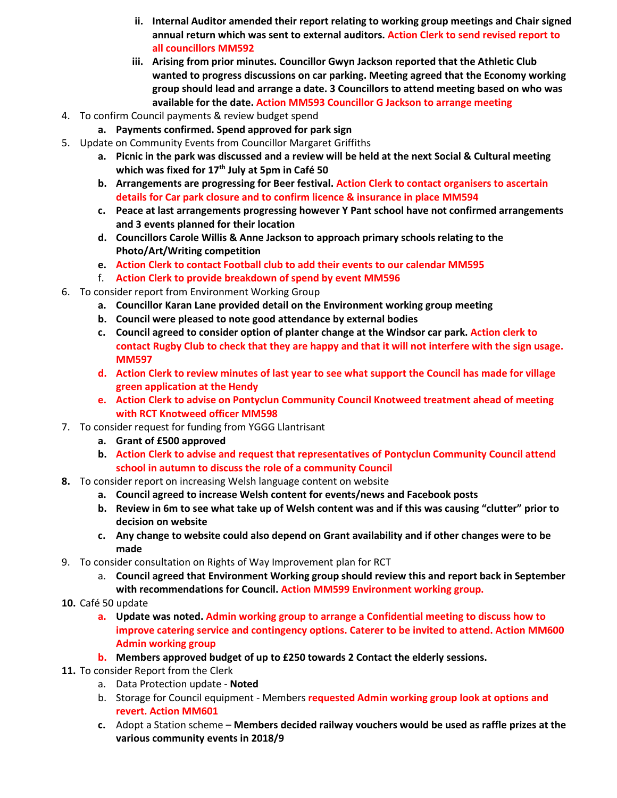- **ii. Internal Auditor amended their report relating to working group meetings and Chair signed annual return which was sent to external auditors. Action Clerk to send revised report to all councillors MM592**
- **iii. Arising from prior minutes. Councillor Gwyn Jackson reported that the Athletic Club wanted to progress discussions on car parking. Meeting agreed that the Economy working group should lead and arrange a date. 3 Councillors to attend meeting based on who was available for the date. Action MM593 Councillor G Jackson to arrange meeting**
- 4. To confirm Council payments & review budget spend
	- **a. Payments confirmed. Spend approved for park sign**
- 5. Update on Community Events from Councillor Margaret Griffiths
	- **a. Picnic in the park was discussed and a review will be held at the next Social & Cultural meeting which was fixed for 17th July at 5pm in Café 50**
	- **b. Arrangements are progressing for Beer festival. Action Clerk to contact organisers to ascertain details for Car park closure and to confirm licence & insurance in place MM594**
	- **c. Peace at last arrangements progressing however Y Pant school have not confirmed arrangements and 3 events planned for their location**
	- **d. Councillors Carole Willis & Anne Jackson to approach primary schools relating to the Photo/Art/Writing competition**
	- **e. Action Clerk to contact Football club to add their events to our calendar MM595**
	- f. **Action Clerk to provide breakdown of spend by event MM596**
- 6. To consider report from Environment Working Group
	- **a. Councillor Karan Lane provided detail on the Environment working group meeting**
	- **b. Council were pleased to note good attendance by external bodies**
	- **c. Council agreed to consider option of planter change at the Windsor car park. Action clerk to contact Rugby Club to check that they are happy and that it will not interfere with the sign usage. MM597**
	- **d. Action Clerk to review minutes of last year to see what support the Council has made for village green application at the Hendy**
	- **e. Action Clerk to advise on Pontyclun Community Council Knotweed treatment ahead of meeting with RCT Knotweed officer MM598**
- 7. To consider request for funding from YGGG Llantrisant
	- **a. Grant of £500 approved**
	- **b. Action Clerk to advise and request that representatives of Pontyclun Community Council attend school in autumn to discuss the role of a community Council**
- **8.** To consider report on increasing Welsh language content on website
	- **a. Council agreed to increase Welsh content for events/news and Facebook posts**
	- **b. Review in 6m to see what take up of Welsh content was and if this was causing "clutter" prior to decision on website**
	- **c. Any change to website could also depend on Grant availability and if other changes were to be made**
- 9. To consider consultation on Rights of Way Improvement plan for RCT
	- a. **Council agreed that Environment Working group should review this and report back in September with recommendations for Council. Action MM599 Environment working group.**
- **10.** Café 50 update
	- **a. Update was noted. Admin working group to arrange a Confidential meeting to discuss how to improve catering service and contingency options. Caterer to be invited to attend. Action MM600 Admin working group**
	- **b. Members approved budget of up to £250 towards 2 Contact the elderly sessions.**
- **11.** To consider Report from the Clerk
	- a. Data Protection update **Noted**
	- b. Storage for Council equipment Members **requested Admin working group look at options and revert. Action MM601**
	- **c.** Adopt a Station scheme **Members decided railway vouchers would be used as raffle prizes at the various community events in 2018/9**